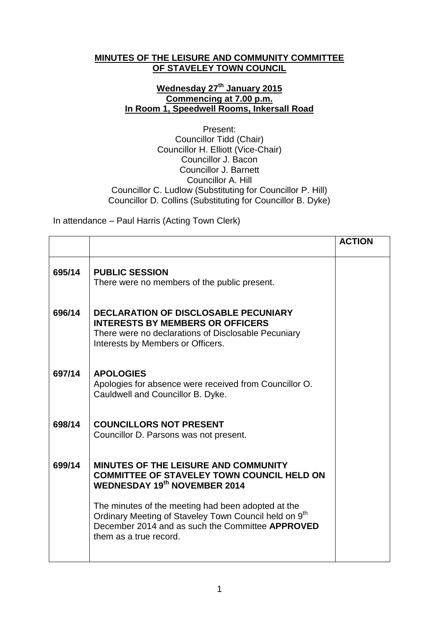## **MINUTES OF THE LEISURE AND COMMUNITY COMMITTEE OF STAVELEY TOWN COUNCIL**

## **Wednesday 27th January 2015 Commencing at 7.00 p.m. In Room 1, Speedwell Rooms, Inkersall Road**

Present: Councillor Tidd (Chair) Councillor H. Elliott (Vice-Chair) Councillor J. Bacon Councillor J. Barnett Councillor A. Hill Councillor C. Ludlow (Substituting for Councillor P. Hill) Councillor D. Collins (Substituting for Councillor B. Dyke)

In attendance – Paul Harris (Acting Town Clerk)

|        |                                                                                                                                                                                                       | <b>ACTION</b> |
|--------|-------------------------------------------------------------------------------------------------------------------------------------------------------------------------------------------------------|---------------|
| 695/14 | <b>PUBLIC SESSION</b><br>There were no members of the public present.                                                                                                                                 |               |
| 696/14 | <b>DECLARATION OF DISCLOSABLE PECUNIARY</b><br><b>INTERESTS BY MEMBERS OR OFFICERS</b><br>There were no declarations of Disclosable Pecuniary<br>Interests by Members or Officers.                    |               |
| 697/14 | <b>APOLOGIES</b><br>Apologies for absence were received from Councillor O.<br>Cauldwell and Councillor B. Dyke.                                                                                       |               |
| 698/14 | <b>COUNCILLORS NOT PRESENT</b><br>Councillor D. Parsons was not present.                                                                                                                              |               |
| 699/14 | <b>MINUTES OF THE LEISURE AND COMMUNITY</b><br><b>COMMITTEE OF STAVELEY TOWN COUNCIL HELD ON</b><br><b>WEDNESDAY 19th NOVEMBER 2014</b>                                                               |               |
|        | The minutes of the meeting had been adopted at the<br>Ordinary Meeting of Staveley Town Council held on 9 <sup>th</sup><br>December 2014 and as such the Committee APPROVED<br>them as a true record. |               |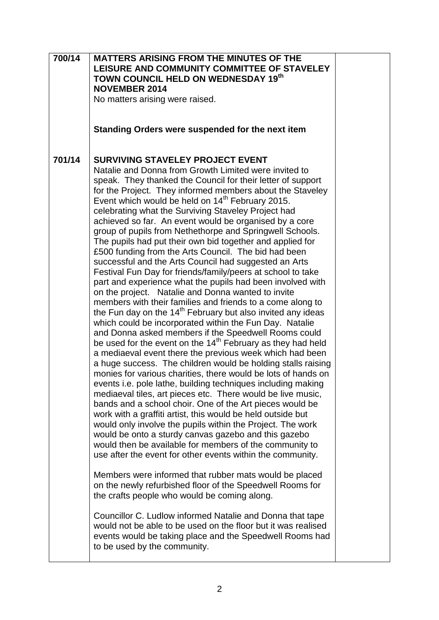| 700/14 | <b>MATTERS ARISING FROM THE MINUTES OF THE</b><br>LEISURE AND COMMUNITY COMMITTEE OF STAVELEY<br>TOWN COUNCIL HELD ON WEDNESDAY 19th<br><b>NOVEMBER 2014</b>                                                                                                                                                                                                                                                                                                                                                                                                                                                                                                                                                                                                                                                                                                                                                                                                                                                                                                                                                                                                                                                                                                                                                                                                                                                                                                                                                                                                                                                                                                                                                                                                                                                                                                                                                                                                                                                                                                                                                                                                                                                                                                                             |  |
|--------|------------------------------------------------------------------------------------------------------------------------------------------------------------------------------------------------------------------------------------------------------------------------------------------------------------------------------------------------------------------------------------------------------------------------------------------------------------------------------------------------------------------------------------------------------------------------------------------------------------------------------------------------------------------------------------------------------------------------------------------------------------------------------------------------------------------------------------------------------------------------------------------------------------------------------------------------------------------------------------------------------------------------------------------------------------------------------------------------------------------------------------------------------------------------------------------------------------------------------------------------------------------------------------------------------------------------------------------------------------------------------------------------------------------------------------------------------------------------------------------------------------------------------------------------------------------------------------------------------------------------------------------------------------------------------------------------------------------------------------------------------------------------------------------------------------------------------------------------------------------------------------------------------------------------------------------------------------------------------------------------------------------------------------------------------------------------------------------------------------------------------------------------------------------------------------------------------------------------------------------------------------------------------------------|--|
|        | No matters arising were raised.                                                                                                                                                                                                                                                                                                                                                                                                                                                                                                                                                                                                                                                                                                                                                                                                                                                                                                                                                                                                                                                                                                                                                                                                                                                                                                                                                                                                                                                                                                                                                                                                                                                                                                                                                                                                                                                                                                                                                                                                                                                                                                                                                                                                                                                          |  |
|        | Standing Orders were suspended for the next item                                                                                                                                                                                                                                                                                                                                                                                                                                                                                                                                                                                                                                                                                                                                                                                                                                                                                                                                                                                                                                                                                                                                                                                                                                                                                                                                                                                                                                                                                                                                                                                                                                                                                                                                                                                                                                                                                                                                                                                                                                                                                                                                                                                                                                         |  |
| 701/14 | <b>SURVIVING STAVELEY PROJECT EVENT</b><br>Natalie and Donna from Growth Limited were invited to<br>speak. They thanked the Council for their letter of support<br>for the Project. They informed members about the Staveley<br>Event which would be held on 14 <sup>th</sup> February 2015.<br>celebrating what the Surviving Staveley Project had<br>achieved so far. An event would be organised by a core<br>group of pupils from Nethethorpe and Springwell Schools.<br>The pupils had put their own bid together and applied for<br>£500 funding from the Arts Council. The bid had been<br>successful and the Arts Council had suggested an Arts<br>Festival Fun Day for friends/family/peers at school to take<br>part and experience what the pupils had been involved with<br>on the project. Natalie and Donna wanted to invite<br>members with their families and friends to a come along to<br>the Fun day on the 14 <sup>th</sup> February but also invited any ideas<br>which could be incorporated within the Fun Day. Natalie<br>and Donna asked members if the Speedwell Rooms could<br>be used for the event on the 14 <sup>th</sup> February as they had held<br>a mediaeval event there the previous week which had been<br>a huge success. The children would be holding stalls raising<br>monies for various charities, there would be lots of hands on<br>events i.e. pole lathe, building techniques including making<br>mediaeval tiles, art pieces etc. There would be live music,<br>bands and a school choir. One of the Art pieces would be<br>work with a graffiti artist, this would be held outside but<br>would only involve the pupils within the Project. The work<br>would be onto a sturdy canvas gazebo and this gazebo<br>would then be available for members of the community to<br>use after the event for other events within the community.<br>Members were informed that rubber mats would be placed<br>on the newly refurbished floor of the Speedwell Rooms for<br>the crafts people who would be coming along.<br>Councillor C. Ludlow informed Natalie and Donna that tape<br>would not be able to be used on the floor but it was realised<br>events would be taking place and the Speedwell Rooms had<br>to be used by the community. |  |
|        |                                                                                                                                                                                                                                                                                                                                                                                                                                                                                                                                                                                                                                                                                                                                                                                                                                                                                                                                                                                                                                                                                                                                                                                                                                                                                                                                                                                                                                                                                                                                                                                                                                                                                                                                                                                                                                                                                                                                                                                                                                                                                                                                                                                                                                                                                          |  |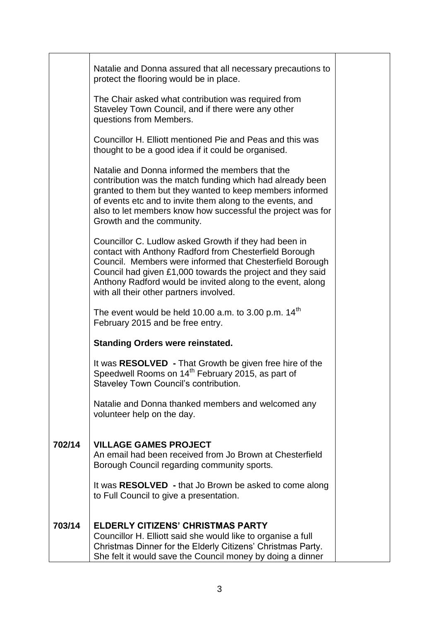|        | Natalie and Donna assured that all necessary precautions to<br>protect the flooring would be in place.                                                                                                                                                                                                                                             |  |
|--------|----------------------------------------------------------------------------------------------------------------------------------------------------------------------------------------------------------------------------------------------------------------------------------------------------------------------------------------------------|--|
|        | The Chair asked what contribution was required from<br>Staveley Town Council, and if there were any other<br>questions from Members.                                                                                                                                                                                                               |  |
|        | Councillor H. Elliott mentioned Pie and Peas and this was<br>thought to be a good idea if it could be organised.                                                                                                                                                                                                                                   |  |
|        | Natalie and Donna informed the members that the<br>contribution was the match funding which had already been<br>granted to them but they wanted to keep members informed<br>of events etc and to invite them along to the events, and<br>also to let members know how successful the project was for<br>Growth and the community.                  |  |
|        | Councillor C. Ludlow asked Growth if they had been in<br>contact with Anthony Radford from Chesterfield Borough<br>Council. Members were informed that Chesterfield Borough<br>Council had given £1,000 towards the project and they said<br>Anthony Radford would be invited along to the event, along<br>with all their other partners involved. |  |
|        | The event would be held 10.00 a.m. to 3.00 p.m. 14 <sup>th</sup><br>February 2015 and be free entry.                                                                                                                                                                                                                                               |  |
|        | <b>Standing Orders were reinstated.</b>                                                                                                                                                                                                                                                                                                            |  |
|        | It was RESOLVED - That Growth be given free hire of the<br>Speedwell Rooms on 14 <sup>th</sup> February 2015, as part of<br>Staveley Town Council's contribution.                                                                                                                                                                                  |  |
|        | Natalie and Donna thanked members and welcomed any<br>volunteer help on the day.                                                                                                                                                                                                                                                                   |  |
|        |                                                                                                                                                                                                                                                                                                                                                    |  |
| 702/14 | <b>VILLAGE GAMES PROJECT</b><br>An email had been received from Jo Brown at Chesterfield<br>Borough Council regarding community sports.                                                                                                                                                                                                            |  |
|        | It was RESOLVED - that Jo Brown be asked to come along<br>to Full Council to give a presentation.                                                                                                                                                                                                                                                  |  |
| 703/14 | <b>ELDERLY CITIZENS' CHRISTMAS PARTY</b><br>Councillor H. Elliott said she would like to organise a full<br>Christmas Dinner for the Elderly Citizens' Christmas Party.<br>She felt it would save the Council money by doing a dinner                                                                                                              |  |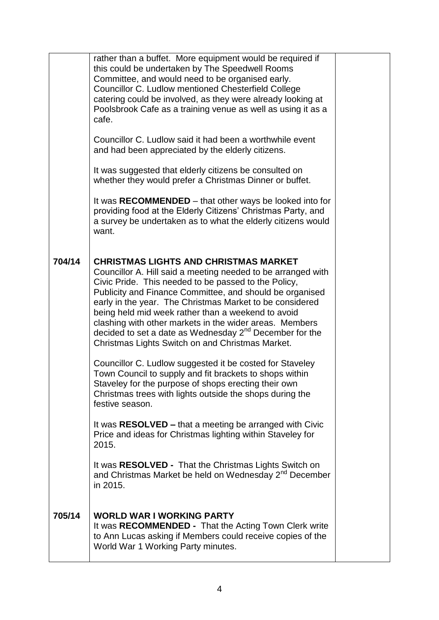|        | rather than a buffet. More equipment would be required if<br>this could be undertaken by The Speedwell Rooms<br>Committee, and would need to be organised early.<br>Councillor C. Ludlow mentioned Chesterfield College<br>catering could be involved, as they were already looking at<br>Poolsbrook Cafe as a training venue as well as using it as a<br>cafe.<br>Councillor C. Ludlow said it had been a worthwhile event<br>and had been appreciated by the elderly citizens.<br>It was suggested that elderly citizens be consulted on<br>whether they would prefer a Christmas Dinner or buffet.<br>It was RECOMMENDED – that other ways be looked into for<br>providing food at the Elderly Citizens' Christmas Party, and<br>a survey be undertaken as to what the elderly citizens would<br>want. |  |
|--------|-----------------------------------------------------------------------------------------------------------------------------------------------------------------------------------------------------------------------------------------------------------------------------------------------------------------------------------------------------------------------------------------------------------------------------------------------------------------------------------------------------------------------------------------------------------------------------------------------------------------------------------------------------------------------------------------------------------------------------------------------------------------------------------------------------------|--|
| 704/14 | <b>CHRISTMAS LIGHTS AND CHRISTMAS MARKET</b><br>Councillor A. Hill said a meeting needed to be arranged with<br>Civic Pride. This needed to be passed to the Policy,<br>Publicity and Finance Committee, and should be organised<br>early in the year. The Christmas Market to be considered<br>being held mid week rather than a weekend to avoid<br>clashing with other markets in the wider areas. Members<br>decided to set a date as Wednesday $2^{nd}$ December for the<br>Christmas Lights Switch on and Christmas Market.                                                                                                                                                                                                                                                                         |  |
|        | Councillor C. Ludlow suggested it be costed for Staveley<br>Town Council to supply and fit brackets to shops within<br>Staveley for the purpose of shops erecting their own<br>Christmas trees with lights outside the shops during the<br>festive season.                                                                                                                                                                                                                                                                                                                                                                                                                                                                                                                                                |  |
|        | It was RESOLVED – that a meeting be arranged with Civic<br>Price and ideas for Christmas lighting within Staveley for<br>2015.                                                                                                                                                                                                                                                                                                                                                                                                                                                                                                                                                                                                                                                                            |  |
|        | It was RESOLVED - That the Christmas Lights Switch on<br>and Christmas Market be held on Wednesday 2 <sup>nd</sup> December<br>in 2015.                                                                                                                                                                                                                                                                                                                                                                                                                                                                                                                                                                                                                                                                   |  |
| 705/14 | <b>WORLD WAR I WORKING PARTY</b><br>It was RECOMMENDED - That the Acting Town Clerk write<br>to Ann Lucas asking if Members could receive copies of the<br>World War 1 Working Party minutes.                                                                                                                                                                                                                                                                                                                                                                                                                                                                                                                                                                                                             |  |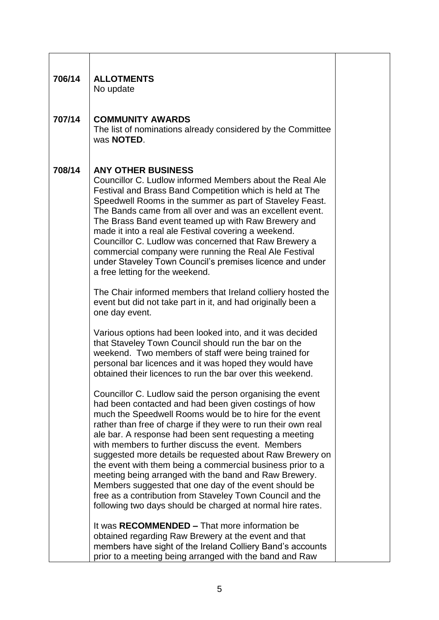| 706/14 | <b>ALLOTMENTS</b><br>No update                                                                                                                                                                                                                                                                                                                                                                                                                                                                                                                                                                                                                                                                                                        |  |
|--------|---------------------------------------------------------------------------------------------------------------------------------------------------------------------------------------------------------------------------------------------------------------------------------------------------------------------------------------------------------------------------------------------------------------------------------------------------------------------------------------------------------------------------------------------------------------------------------------------------------------------------------------------------------------------------------------------------------------------------------------|--|
| 707/14 | <b>COMMUNITY AWARDS</b><br>The list of nominations already considered by the Committee<br>was <b>NOTED</b> .                                                                                                                                                                                                                                                                                                                                                                                                                                                                                                                                                                                                                          |  |
| 708/14 | <b>ANY OTHER BUSINESS</b><br>Councillor C. Ludlow informed Members about the Real Ale<br>Festival and Brass Band Competition which is held at The<br>Speedwell Rooms in the summer as part of Staveley Feast.<br>The Bands came from all over and was an excellent event.<br>The Brass Band event teamed up with Raw Brewery and<br>made it into a real ale Festival covering a weekend.<br>Councillor C. Ludlow was concerned that Raw Brewery a<br>commercial company were running the Real Ale Festival<br>under Staveley Town Council's premises licence and under<br>a free letting for the weekend.                                                                                                                             |  |
|        | The Chair informed members that Ireland colliery hosted the<br>event but did not take part in it, and had originally been a<br>one day event.                                                                                                                                                                                                                                                                                                                                                                                                                                                                                                                                                                                         |  |
|        | Various options had been looked into, and it was decided<br>that Staveley Town Council should run the bar on the<br>weekend. Two members of staff were being trained for<br>personal bar licences and it was hoped they would have<br>obtained their licences to run the bar over this weekend.                                                                                                                                                                                                                                                                                                                                                                                                                                       |  |
|        | Councillor C. Ludlow said the person organising the event<br>had been contacted and had been given costings of how<br>much the Speedwell Rooms would be to hire for the event<br>rather than free of charge if they were to run their own real<br>ale bar. A response had been sent requesting a meeting<br>with members to further discuss the event. Members<br>suggested more details be requested about Raw Brewery on<br>the event with them being a commercial business prior to a<br>meeting being arranged with the band and Raw Brewery.<br>Members suggested that one day of the event should be<br>free as a contribution from Staveley Town Council and the<br>following two days should be charged at normal hire rates. |  |
|        | It was RECOMMENDED - That more information be<br>obtained regarding Raw Brewery at the event and that<br>members have sight of the Ireland Colliery Band's accounts<br>prior to a meeting being arranged with the band and Raw                                                                                                                                                                                                                                                                                                                                                                                                                                                                                                        |  |